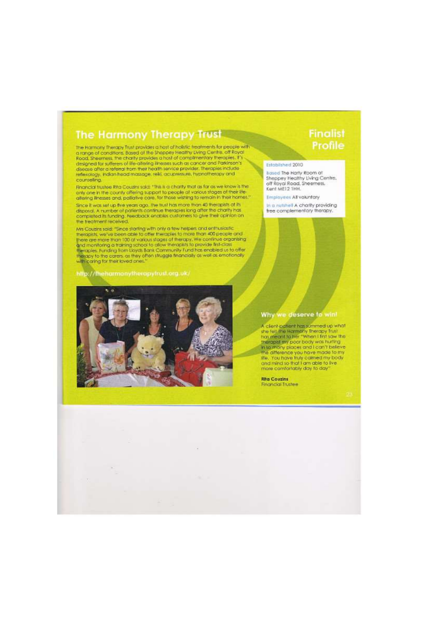## The Harmony Therapy Trust

The Harmony Therapy Trust provides a host of holistic treatments for people with<br>a range of conditions. Based of the Shoppey Healthy Living Centre. off Royal<br>Road, Sheemess, the charily provides a host of complimentary the designed for sufferers of the altering thresses such as cancer and Parkinson's<br>disease after a referral from their health service provider. Therapies include reflexology, indian head massage, relk), acupressure, hypnotherapy and counseting.

Financial trustee Rita Couzins said: "This is a charity that as far as we know is the only one in the county offering support to people at various stages at their life attempt inesses and, pallative care, for those wishing to remain in their hames."

Since it was set up five years ago, the trust has more than 40 therapitits of its disposal. A number of patients continue therapies long after the charity has completed its funding. Feedback enables currentes to give their the treatment received.

Wis Courtes and "Since starting with only a few helpers and enthusiastic Miscounts and "Since starting with only a few helpers for end allows proper and theraptis, we've been able to offer theraptis to more from 400 people with caring for their loved ones."

## http://theharmonytherapytrust.org.uk/



# **Finalist** Profile

#### Established 2010

**Based The Harty Room at** Sheppey Healthy Living Centre.<br>off Royal Road, Sheerness.<br>Kent MEI 2 THH.

**Employees All voluntary** 

in a nitshell A charity providing free complementary therapy.

## Why we deserve to win!

A client patient has summed up what<br>she felt the Hamery Therapy Trust<br>trainment to liet "When I first saw the<br>traingeat my poor body was furting<br>in to many places and I can't believe<br>the difference you have mode to my life. You have fruly calmed my body<br>and mind so that I am able to Ive more comfortably day to day'

**Rita Couzins Rnancial Trustee**